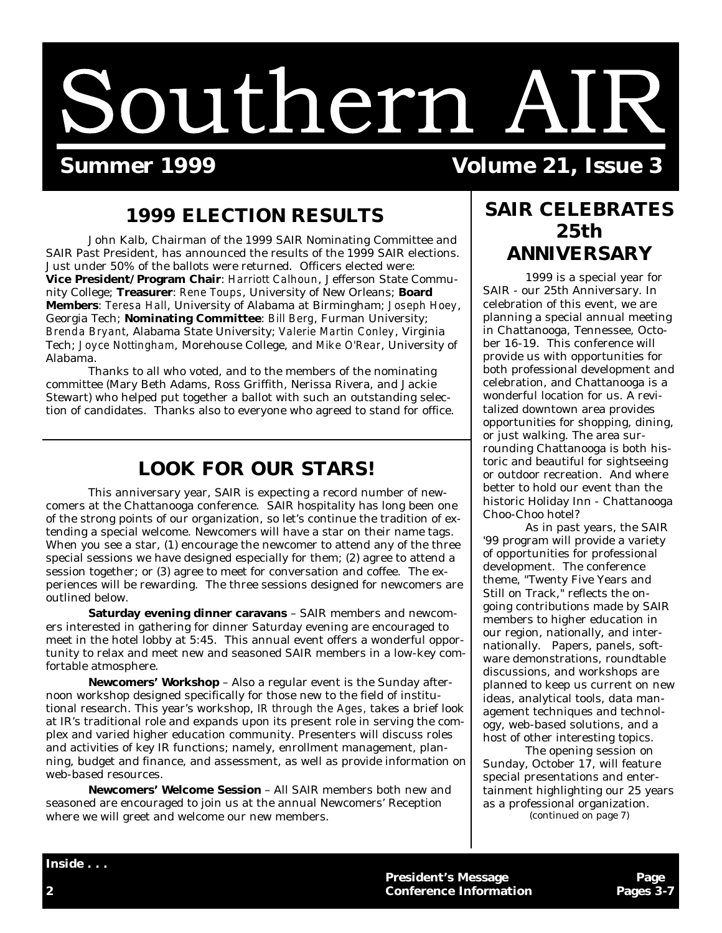# Southern AIR

 **Summer 1999 Volume 21, Issue 3**

# **1999 ELECTION RESULTS**

 John Kalb, Chairman of the 1999 SAIR Nominating Committee and SAIR Past President, has announced the results of the 1999 SAIR elections. Just under 50% of the ballots were returned. Officers elected were: **Vice President/Program Chair**: *Harriott Calhoun*, Jefferson State Community College; **Treasurer**: *Rene Toups*, University of New Orleans; **Board Members**: *Teresa Hall*, University of Alabama at Birmingham; *Joseph Hoey*, Georgia Tech; **Nominating Committee**: *Bill Berg*, Furman University; *Brenda Bryant*, Alabama State University; *Valerie Martin Conley*, Virginia Tech; *Joyce Nottingham*, Morehouse College, and *Mike O'Rear*, University of Alabama.

 Thanks to all who voted, and to the members of the nominating committee (Mary Beth Adams, Ross Griffith, Nerissa Rivera, and Jackie Stewart) who helped put together a ballot with such an outstanding selection of candidates. Thanks also to everyone who agreed to stand for office.

# **LOOK FOR OUR STARS!**

 This anniversary year, SAIR is expecting a record number of newcomers at the Chattanooga conference. SAIR hospitality has long been one of the strong points of our organization, so let's continue the tradition of extending a special welcome. Newcomers will have a star on their name tags. When you see a star, (1) encourage the newcomer to attend any of the three special sessions we have designed especially for them; (2) agree to attend a session together; or (3) agree to meet for conversation and coffee. The experiences will be rewarding. The three sessions designed for newcomers are outlined below.

 **Saturday evening dinner caravans** – SAIR members and newcomers interested in gathering for dinner Saturday evening are encouraged to meet in the hotel lobby at 5:45. This annual event offers a wonderful opportunity to relax and meet new and seasoned SAIR members in a low-key comfortable atmosphere.

 **Newcomers' Workshop** – Also a regular event is the Sunday afternoon workshop designed specifically for those new to the field of institutional research. This year's workshop, *IR through the Ages,* takes a brief look at IR's traditional role and expands upon its present role in serving the complex and varied higher education community. Presenters will discuss roles and activities of key IR functions; namely, enrollment management, planning, budget and finance, and assessment, as well as provide information on web-based resources.

 **Newcomers' Welcome Session** – All SAIR members both new and seasoned are encouraged to join us at the annual Newcomers' Reception where we will greet and welcome our new members.

# **SAIR CELEBRATES 25th ANNIVERSARY**

 1999 is a special year for SAIR - our 25th Anniversary. In celebration of this event, we are planning a special annual meeting in Chattanooga, Tennessee, October 16-19. This conference will provide us with opportunities for both professional development and celebration, and Chattanooga is a wonderful location for us. A revitalized downtown area provides opportunities for shopping, dining, or just walking. The area surrounding Chattanooga is both historic and beautiful for sightseeing or outdoor recreation. And where better to hold our event than the historic Holiday Inn - Chattanooga Choo-Choo hotel?

 As in past years, the SAIR '99 program will provide a variety of opportunities for professional development. The conference theme, "Twenty Five Years and Still on Track," reflects the ongoing contributions made by SAIR members to higher education in our region, nationally, and internationally. Papers, panels, software demonstrations, roundtable discussions, and workshops are planned to keep us current on new ideas, analytical tools, data management techniques and technology, web-based solutions, and a host of other interesting topics.

 The opening session on Sunday, October 17, will feature special presentations and entertainment highlighting our 25 years as a professional organization. (continued on page 7)

**President's Message Page Page Page 19.12 2 Conference Information Pages 3-7**

**Inside . . .**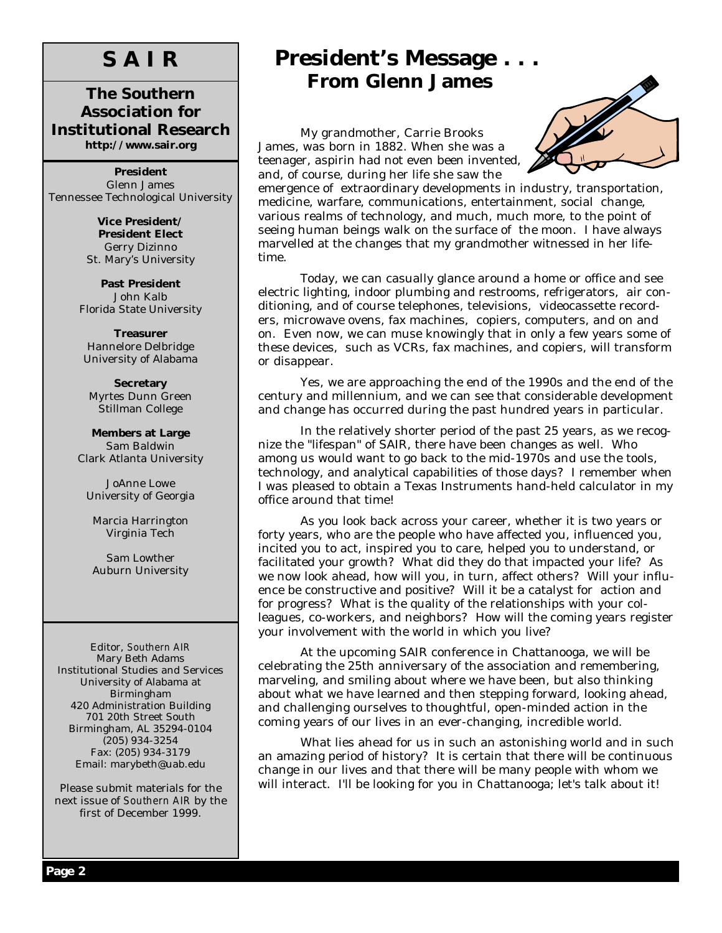# **S A I R**

### **The Southern Association for Institutional Research http://www.sair.org**

**President** Glenn James Tennessee Technological University

> **Vice President/ President Elect** Gerry Dizinno St. Mary's University

**Past President** John Kalb Florida State University

**Treasurer** Hannelore Delbridge University of Alabama

**Secretary** Myrtes Dunn Green Stillman College

**Members at Large** Sam Baldwin Clark Atlanta University

JoAnne Lowe University of Georgia

Marcia Harrington Virginia Tech

Sam Lowther Auburn University

Editor, *Southern AIR* Mary Beth Adams Institutional Studies and Services University of Alabama at Birmingham 420 Administration Building 701 20th Street South Birmingham, AL 35294-0104 (205) 934-3254 Fax: (205) 934-3179 Email: marybeth@uab.edu

Please submit materials for the next issue of *Southern AIR* by the first of December 1999.

# **President's Message . . . From Glenn James**

 My grandmother, Carrie Brooks James, was born in 1882. When she was a teenager, aspirin had not even been invented, and, of course, during her life she saw the



emergence of extraordinary developments in industry, transportation, medicine, warfare, communications, entertainment, social change, various realms of technology, and much, much more, to the point of seeing human beings walk on the surface of the moon. I have always marvelled at the changes that my grandmother witnessed in her lifetime. Ì

 Today, we can casually glance around a home or office and see electric lighting, indoor plumbing and restrooms, refrigerators, air conditioning, and of course telephones, televisions, videocassette recorders, microwave ovens, fax machines, copiers, computers, and on and on. Even now, we can muse knowingly that in only a few years some of these devices, such as VCRs, fax machines, and copiers, will transform or disappear.

 Yes, we are approaching the end of the 1990s and the end of the century and millennium, and we can see that considerable development and change has occurred during the past hundred years in particular.

 In the relatively shorter period of the past 25 years, as we recognize the "lifespan" of SAIR, there have been changes as well. Who among us would want to go back to the mid-1970s and use the tools, technology, and analytical capabilities of those days? I remember when I was pleased to obtain a Texas Instruments hand-held calculator in my office around that time!

 As you look back across your career, whether it is two years or forty years, who are the people who have affected you, influenced you, incited you to act, inspired you to care, helped you to understand, or facilitated your growth? What did they do that impacted your life? As we now look ahead, how will you, in turn, affect others? Will your influence be constructive and positive? Will it be a catalyst for action and for progress? What is the quality of the relationships with your colleagues, co-workers, and neighbors? How will the coming years register your involvement with the world in which you live?

 At the upcoming SAIR conference in Chattanooga, we will be celebrating the 25th anniversary of the association and remembering, marveling, and smiling about where we have been, but also thinking about what we have learned and then stepping forward, looking ahead, and challenging ourselves to thoughtful, open-minded action in the coming years of our lives in an ever-changing, incredible world.

 What lies ahead for us in such an astonishing world and in such an amazing period of history? It is certain that there will be continuous change in our lives and that there will be many people with whom we will interact. I'll be looking for you in Chattanooga; let's talk about it!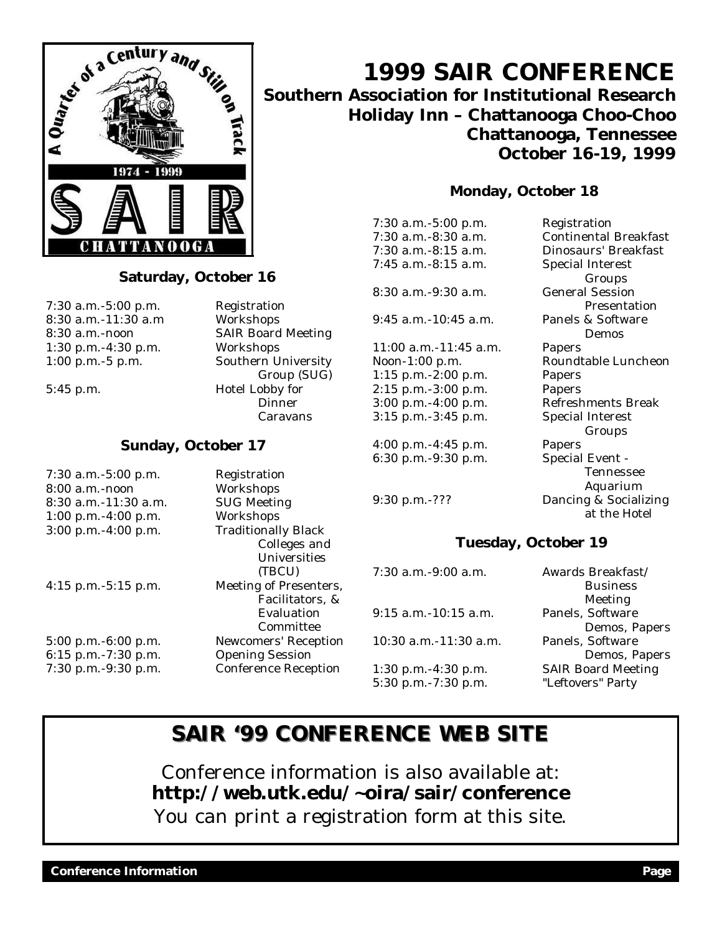

### **Saturday, October 16**

7:30 a.m.-5:00 p.m. Registration 8:30 a.m.-11:30 a.m Workshops 1:30 p.m.-4:30 p.m. Workshops 1:00 p.m.-5 p.m. Southern University

8:30 a.m.-noon SAIR Board Meeting Group (SUG) 5:45 p.m. Hotel Lobby for **Dinner** Caravans

### **Sunday, October 17**

7:30 a.m.-5:00 p.m. Registration 8:00 a.m.-noon Workshops 8:30 a.m.-11:30 a.m. SUG Meeting 1:00 p.m.-4:00 p.m. Workshops 3:00 p.m.-4:00 p.m. Traditionally Black 4:15 p.m.-5:15 p.m. Meeting of Presenters,

 Colleges and Universities (TBCU) Facilitators, & Evaluation Committee 5:00 p.m.-6:00 p.m. Newcomers' Reception 6:15 p.m.-7:30 p.m. Opening Session 7:30 p.m.-9:30 p.m. Conference Reception

# **1999 SAIR CONFERENCE Southern Association for Institutional Research Holiday Inn – Chattanooga Choo-Choo Chattanooga, Tennessee October 16-19, 1999**

### **Monday, October 18**

7:30 a.m.-5:00 p.m. Registration 7:45 a.m.-8:15 a.m. Special Interest

8:30 a.m.-9:30 a.m. General Session

9:45 a.m.-10:45 a.m. Panels & Software

11:00 a.m.-11:45 a.m. Papers Noon-1:00 p.m. Roundtable Luncheon 1:15 p.m.-2:00 p.m. Papers 2:15 p.m.-3:00 p.m. Papers 3:00 p.m.-4:00 p.m. Refreshments Break 3:15 p.m.-3:45 p.m. Special Interest

4:00 p.m.-4:45 p.m. Papers 6:30 p.m.-9:30 p.m. Special Event -

7:30 a.m.-8:30 a.m. Continental Breakfast 7:30 a.m.-8:15 a.m. Dinosaurs' Breakfast Groups Presentation Demos Groups Tennessee Aquarium 9:30 p.m.-??? Dancing & Socializing at the Hotel

> Business Meeting

Demos, Papers

Demos, Papers

### **Tuesday, October 19**

7:30 a.m.-9:00 a.m. Awards Breakfast/ 9:15 a.m.-10:15 a.m. Panels, Software 10:30 a.m.-11:30 a.m. Panels, Software 1:30 p.m.-4:30 p.m. SAIR Board Meeting 5:30 p.m.-7:30 p.m. "Leftovers" Party

# **SAIR '99 CONFERENCE WEB SITE**

Conference information is also available at: **http://web.utk.edu/~oira/sair/conference** You can print a registration form at this site.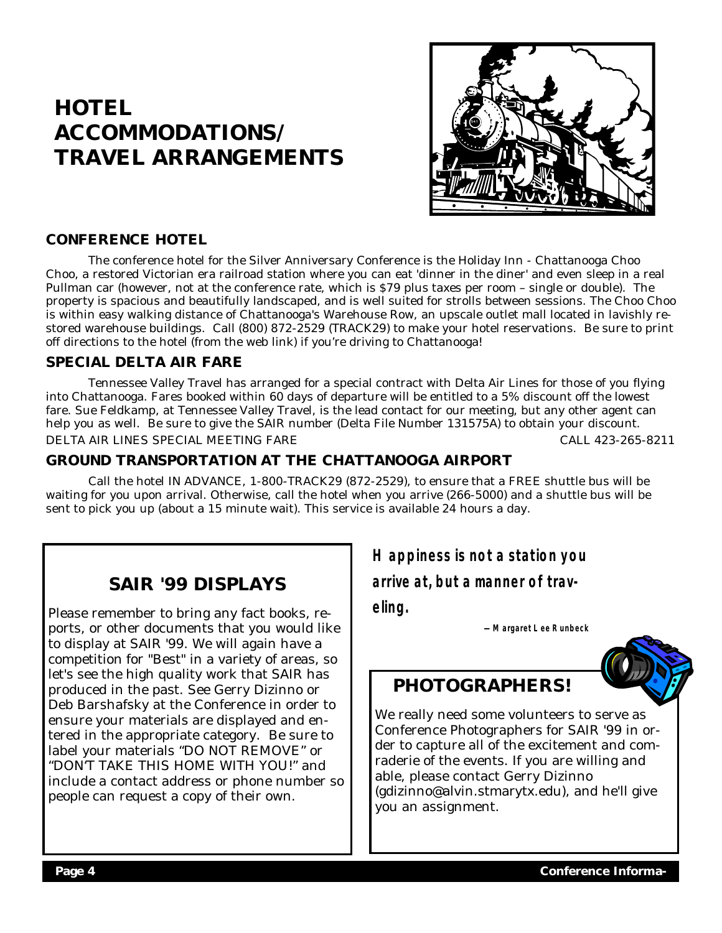# **HOTEL ACCOMMODATIONS/ TRAVEL ARRANGEMENTS**



### **CONFERENCE HOTEL**

 The conference hotel for the Silver Anniversary Conference is the Holiday Inn - Chattanooga Choo Choo, a restored Victorian era railroad station where you can eat 'dinner in the diner' and even sleep in a real Pullman car (however, not at the conference rate, which is \$79 plus taxes per room – single or double). The property is spacious and beautifully landscaped, and is well suited for strolls between sessions. The Choo Choo is within easy walking distance of Chattanooga's Warehouse Row, an upscale outlet mall located in lavishly restored warehouse buildings. Call (800) 872-2529 (TRACK29) to make your hotel reservations. Be sure to print off directions to the hotel (from the web link) if you're driving to Chattanooga!

### **SPECIAL DELTA AIR FARE**

 Tennessee Valley Travel has arranged for a special contract with Delta Air Lines for those of you flying into Chattanooga. Fares booked within 60 days of departure will be entitled to a 5% discount off the lowest fare. Sue Feldkamp, at Tennessee Valley Travel, is the lead contact for our meeting, but any other agent can help you as well. Be sure to give the SAIR number (Delta File Number 131575A) to obtain your discount. DELTA AIR LINES SPECIAL MEETING FARE CALL 423-265-8211

### **GROUND TRANSPORTATION AT THE CHATTANOOGA AIRPORT**

 Call the hotel IN ADVANCE, 1-800-TRACK29 (872-2529), to ensure that a FREE shuttle bus will be waiting for you upon arrival. Otherwise, call the hotel when you arrive (266-5000) and a shuttle bus will be sent to pick you up (about a 15 minute wait). This service is available 24 hours a day.

# **SAIR '99 DISPLAYS**

Please remember to bring any fact books, reports, or other documents that you would like to display at SAIR '99. We will again have a competition for "Best" in a variety of areas, so let's see the high quality work that SAIR has produced in the past. See Gerry Dizinno or Deb Barshafsky at the Conference in order to ensure your materials are displayed and entered in the appropriate category. Be sure to label your materials "DO NOT REMOVE" or "DON'T TAKE THIS HOME WITH YOU!" and include a contact address or phone number so people can request a copy of their own.

**Happiness is not a station you** 

**arrive at, but a manner of trav-**

**eling.**

**— Margaret Lee Runbeck**



# **PHOTOGRAPHERS!**

We really need some volunteers to serve as Conference Photographers for SAIR '99 in order to capture all of the excitement and comraderie of the events. If you are willing and able, please contact Gerry Dizinno (gdizinno@alvin.stmarytx.edu), and he'll give you an assignment.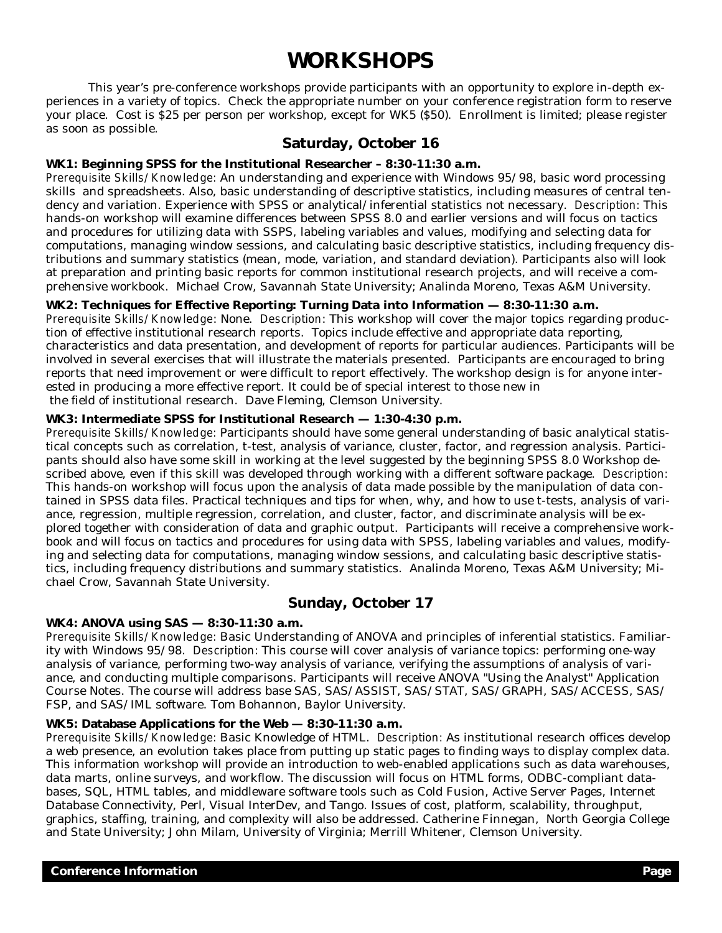# **WORKSHOPS**

 This year's pre-conference workshops provide participants with an opportunity to explore in-depth experiences in a variety of topics. Check the appropriate number on your conference registration form to reserve your place. Cost is \$25 per person per workshop, except for WK5 (\$50). Enrollment is limited; please register as soon as possible.

### **Saturday, October 16**

### **WK1: Beginning SPSS for the Institutional Researcher – 8:30-11:30 a.m.**

*Prerequisite Skills/Knowledge:* An understanding and experience with Windows 95/98, basic word processing skills and spreadsheets. Also, basic understanding of descriptive statistics, including measures of central tendency and variation. Experience with SPSS or analytical/inferential statistics not necessary. *Description:* This hands-on workshop will examine differences between SPSS 8.0 and earlier versions and will focus on tactics and procedures for utilizing data with SSPS, labeling variables and values, modifying and selecting data for computations, managing window sessions, and calculating basic descriptive statistics, including frequency distributions and summary statistics (mean, mode, variation, and standard deviation). Participants also will look at preparation and printing basic reports for common institutional research projects, and will receive a comprehensive workbook. Michael Crow, Savannah State University; Analinda Moreno, Texas A&M University.

### **WK2: Techniques for Effective Reporting: Turning Data into Information — 8:30-11:30 a.m.**

*Prerequisite Skills/Knowledge*: None. *Description*: This workshop will cover the major topics regarding production of effective institutional research reports. Topics include effective and appropriate data reporting, characteristics and data presentation, and development of reports for particular audiences. Participants will be involved in several exercises that will illustrate the materials presented. Participants are encouraged to bring reports that need improvement or were difficult to report effectively. The workshop design is for anyone interested in producing a more effective report. It could be of special interest to those new in the field of institutional research. Dave Fleming, Clemson University.

### **WK3: Intermediate SPSS for Institutional Research — 1:30-4:30 p.m.**

*Prerequisite Skills/Knowledge:* Participants should have some general understanding of basic analytical statistical concepts such as correlation, t-test, analysis of variance, cluster, factor, and regression analysis. Participants should also have some skill in working at the level suggested by the beginning SPSS 8.0 Workshop described above, even if this skill was developed through working with a different software package. *Description:*  This hands-on workshop will focus upon the analysis of data made possible by the manipulation of data contained in SPSS data files. Practical techniques and tips for when, why, and how to use t-tests, analysis of variance, regression, multiple regression, correlation, and cluster, factor, and discriminate analysis will be explored together with consideration of data and graphic output. Participants will receive a comprehensive workbook and will focus on tactics and procedures for using data with SPSS, labeling variables and values, modifying and selecting data for computations, managing window sessions, and calculating basic descriptive statistics, including frequency distributions and summary statistics. Analinda Moreno, Texas A&M University; Michael Crow, Savannah State University.

### **Sunday, October 17**

### **WK4: ANOVA using SAS — 8:30-11:30 a.m.**

*Prerequisite Skills/Knowledge:* Basic Understanding of ANOVA and principles of inferential statistics. Familiarity with Windows 95/98. *Description:* This course will cover analysis of variance topics: performing one-way analysis of variance, performing two-way analysis of variance, verifying the assumptions of analysis of variance, and conducting multiple comparisons. Participants will receive ANOVA "Using the Analyst" Application Course Notes. The course will address base SAS, SAS/ASSIST, SAS/STAT, SAS/GRAPH, SAS/ACCESS, SAS/ FSP, and SAS/IML software. Tom Bohannon, Baylor University.

### **WK5: Database Applications for the Web — 8:30-11:30 a.m.**

*Prerequisite Skills/Knowledge:* Basic Knowledge of HTML. *Description:* As institutional research offices develop a web presence, an evolution takes place from putting up static pages to finding ways to display complex data. This information workshop will provide an introduction to web-enabled applications such as data warehouses, data marts, online surveys, and workflow. The discussion will focus on HTML forms, ODBC-compliant databases, SQL, HTML tables, and middleware software tools such as Cold Fusion, Active Server Pages, Internet Database Connectivity, Perl, Visual InterDev, and Tango. Issues of cost, platform, scalability, throughput, graphics, staffing, training, and complexity will also be addressed. Catherine Finnegan, North Georgia College and State University; John Milam, University of Virginia; Merrill Whitener, Clemson University.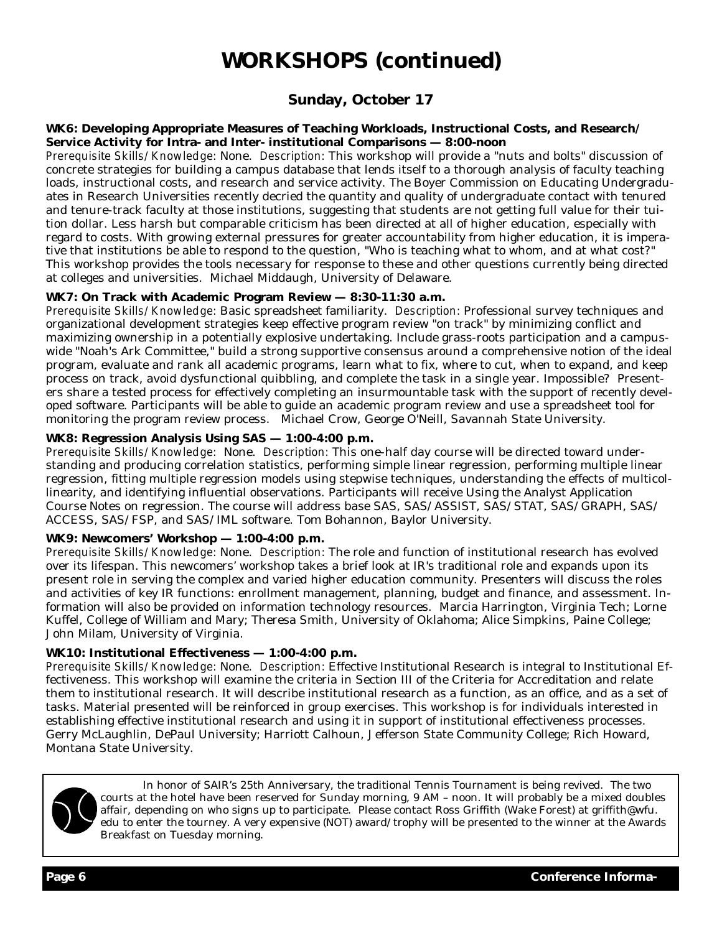# **WORKSHOPS (continued)**

## **Sunday, October 17**

### **WK6: Developing Appropriate Measures of Teaching Workloads, Instructional Costs, and Research/ Service Activity for Intra- and Inter- institutional Comparisons — 8:00-noon**

*Prerequisite Skills/Knowledge:* None. *Description:* This workshop will provide a "nuts and bolts" discussion of concrete strategies for building a campus database that lends itself to a thorough analysis of faculty teaching loads, instructional costs, and research and service activity. The Boyer Commission on Educating Undergraduates in Research Universities recently decried the quantity and quality of undergraduate contact with tenured and tenure-track faculty at those institutions, suggesting that students are not getting full value for their tuition dollar. Less harsh but comparable criticism has been directed at all of higher education, especially with regard to costs. With growing external pressures for greater accountability from higher education, it is imperative that institutions be able to respond to the question, "Who is teaching what to whom, and at what cost?" This workshop provides the tools necessary for response to these and other questions currently being directed at colleges and universities. Michael Middaugh, University of Delaware.

### **WK7: On Track with Academic Program Review — 8:30-11:30 a.m.**

*Prerequisite Skills/Knowledge:* Basic spreadsheet familiarity. *Description:* Professional survey techniques and organizational development strategies keep effective program review "on track" by minimizing conflict and maximizing ownership in a potentially explosive undertaking. Include grass-roots participation and a campuswide "Noah's Ark Committee," build a strong supportive consensus around a comprehensive notion of the ideal program, evaluate and rank all academic programs, learn what to fix, where to cut, when to expand, and keep process on track, avoid dysfunctional quibbling, and complete the task in a single year. Impossible? Presenters share a tested process for effectively completing an insurmountable task with the support of recently developed software. Participants will be able to guide an academic program review and use a spreadsheet tool for monitoring the program review process. Michael Crow, George O'Neill, Savannah State University.

### **WK8: Regression Analysis Using SAS — 1:00-4:00 p.m.**

*Prerequisite Skills/Knowledge:* None. *Description:* This one-half day course will be directed toward understanding and producing correlation statistics, performing simple linear regression, performing multiple linear regression, fitting multiple regression models using stepwise techniques, understanding the effects of multicollinearity, and identifying influential observations. Participants will receive Using the Analyst Application Course Notes on regression. The course will address base SAS, SAS/ASSIST, SAS/STAT, SAS/GRAPH, SAS/ ACCESS, SAS/FSP, and SAS/IML software. Tom Bohannon, Baylor University.

### **WK9: Newcomers' Workshop — 1:00-4:00 p.m.**

*Prerequisite Skills/Knowledge:* None. *Description:* The role and function of institutional research has evolved over its lifespan. This newcomers' workshop takes a brief look at IR's traditional role and expands upon its present role in serving the complex and varied higher education community. Presenters will discuss the roles and activities of key IR functions: enrollment management, planning, budget and finance, and assessment. Information will also be provided on information technology resources. Marcia Harrington, Virginia Tech; Lorne Kuffel, College of William and Mary; Theresa Smith, University of Oklahoma; Alice Simpkins, Paine College; John Milam, University of Virginia.

### **WK10: Institutional Effectiveness — 1:00-4:00 p.m.**

*Prerequisite Skills/Knowledge:* None. *Description:* Effective Institutional Research is integral to Institutional Effectiveness. This workshop will examine the criteria in Section III of the Criteria for Accreditation and relate them to institutional research. It will describe institutional research as a function, as an office, and as a set of tasks. Material presented will be reinforced in group exercises. This workshop is for individuals interested in establishing effective institutional research and using it in support of institutional effectiveness processes. Gerry McLaughlin, DePaul University; Harriott Calhoun, Jefferson State Community College; Rich Howard, Montana State University.



 In honor of SAIR's 25th Anniversary, the traditional Tennis Tournament is being revived. The two courts at the hotel have been reserved for Sunday morning, 9 AM – noon. It will probably be a mixed doubles affair, depending on who signs up to participate. Please contact Ross Griffith (Wake Forest) at griffith@wfu. edu to enter the tourney. A very expensive (NOT) award/trophy will be presented to the winner at the Awards Breakfast on Tuesday morning.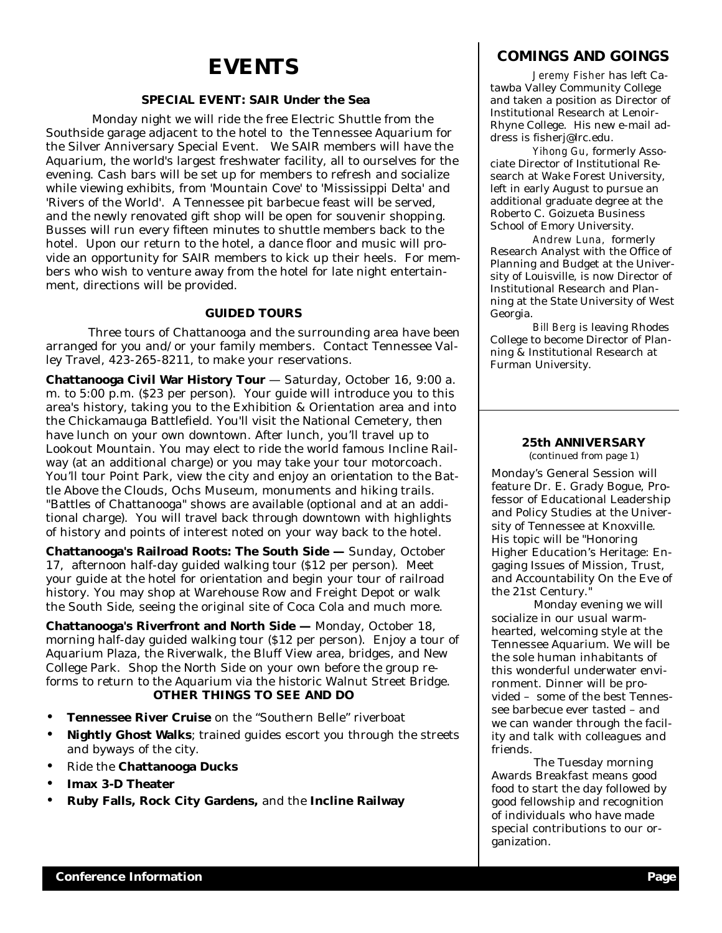# **EVENTS**

### **SPECIAL EVENT: SAIR Under the Sea**

 Monday night we will ride the free Electric Shuttle from the Southside garage adjacent to the hotel to the Tennessee Aquarium for the Silver Anniversary Special Event. We SAIR members will have the Aquarium, the world's largest freshwater facility, all to ourselves for the evening. Cash bars will be set up for members to refresh and socialize while viewing exhibits, from 'Mountain Cove' to 'Mississippi Delta' and 'Rivers of the World'. A Tennessee pit barbecue feast will be served, and the newly renovated gift shop will be open for souvenir shopping. Busses will run every fifteen minutes to shuttle members back to the hotel. Upon our return to the hotel, a dance floor and music will provide an opportunity for SAIR members to kick up their heels. For members who wish to venture away from the hotel for late night entertainment, directions will be provided.

### **GUIDED TOURS**

 Three tours of Chattanooga and the surrounding area have been arranged for you and/or your family members. Contact Tennessee Valley Travel, 423-265-8211, to make your reservations.

**Chattanooga Civil War History Tour** — Saturday, October 16, 9:00 a. m. to 5:00 p.m. (\$23 per person). Your guide will introduce you to this area's history, taking you to the Exhibition & Orientation area and into the Chickamauga Battlefield. You'll visit the National Cemetery, then have lunch on your own downtown. After lunch, you'll travel up to Lookout Mountain. You may elect to ride the world famous Incline Railway (at an additional charge) or you may take your tour motorcoach. You'll tour Point Park, view the city and enjoy an orientation to the Battle Above the Clouds, Ochs Museum, monuments and hiking trails. "Battles of Chattanooga" shows are available (optional and at an additional charge). You will travel back through downtown with highlights of history and points of interest noted on your way back to the hotel.

**Chattanooga's Railroad Roots: The South Side —** Sunday, October 17, afternoon half-day guided walking tour (\$12 per person). Meet your guide at the hotel for orientation and begin your tour of railroad history. You may shop at Warehouse Row and Freight Depot or walk the South Side, seeing the original site of Coca Cola and much more.

**Chattanooga's Riverfront and North Side —** Monday, October 18, morning half-day guided walking tour (\$12 per person). Enjoy a tour of Aquarium Plaza, the Riverwalk, the Bluff View area, bridges, and New College Park. Shop the North Side on your own before the group reforms to return to the Aquarium via the historic Walnut Street Bridge. **OTHER THINGS TO SEE AND DO**

### • **Tennessee River Cruise** on the "Southern Belle" riverboat

- **Nightly Ghost Walks**; trained guides escort you through the streets and byways of the city.
- Ride the **Chattanooga Ducks**
- **Imax 3-D Theater**
- **Ruby Falls, Rock City Gardens,** and the **Incline Railway**

### **COMINGS AND GOINGS**

 *Jeremy Fisher* has left Catawba Valley Community College and taken a position as Director of Institutional Research at Lenoir-Rhyne College. His new e-mail address is fisherj@lrc.edu.

 *Yihong Gu*, formerly Associate Director of Institutional Research at Wake Forest University, left in early August to pursue an additional graduate degree at the Roberto C. Goizueta Business School of Emory University.

 *Andrew Luna,* formerly Research Analyst with the Office of Planning and Budget at the University of Louisville, is now Director of Institutional Research and Planning at the State University of West Georgia.

 *Bill Berg* is leaving Rhodes College to become Director of Planning & Institutional Research at Furman University.

### **25th ANNIVERSARY**

(continued from page 1)

Monday's General Session will feature Dr. E. Grady Bogue, Professor of Educational Leadership and Policy Studies at the University of Tennessee at Knoxville. His topic will be "Honoring Higher Education's Heritage: Engaging Issues of Mission, Trust, and Accountability On the Eve of the 21st Century."

 Monday evening we will socialize in our usual warmhearted, welcoming style at the Tennessee Aquarium. We will be the sole human inhabitants of this wonderful underwater environment. Dinner will be provided – some of the best Tennessee barbecue ever tasted – and we can wander through the facility and talk with colleagues and friends.

 The Tuesday morning Awards Breakfast means good food to start the day followed by good fellowship and recognition of individuals who have made special contributions to our organization.